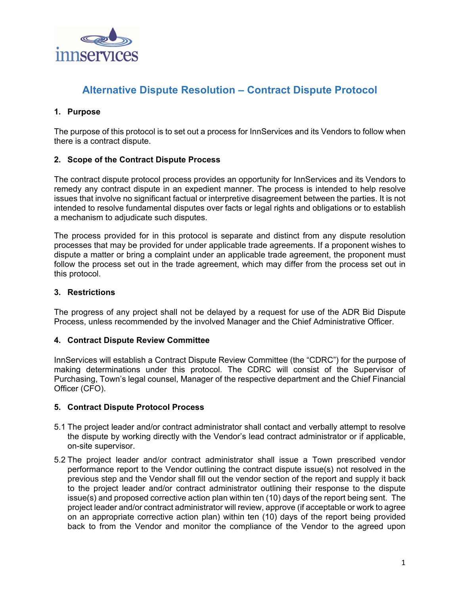

# **Alternative Dispute Resolution – Contract Dispute Protocol**

## **1. Purpose**

The purpose of this protocol is to set out a process for InnServices and its Vendors to follow when there is a contract dispute.

### **2. Scope of the Contract Dispute Process**

The contract dispute protocol process provides an opportunity for InnServices and its Vendors to remedy any contract dispute in an expedient manner. The process is intended to help resolve issues that involve no significant factual or interpretive disagreement between the parties. It is not intended to resolve fundamental disputes over facts or legal rights and obligations or to establish a mechanism to adjudicate such disputes.

The process provided for in this protocol is separate and distinct from any dispute resolution processes that may be provided for under applicable trade agreements. If a proponent wishes to dispute a matter or bring a complaint under an applicable trade agreement, the proponent must follow the process set out in the trade agreement, which may differ from the process set out in this protocol.

### **3. Restrictions**

The progress of any project shall not be delayed by a request for use of the ADR Bid Dispute Process, unless recommended by the involved Manager and the Chief Administrative Officer.

### **4. Contract Dispute Review Committee**

InnServices will establish a Contract Dispute Review Committee (the "CDRC") for the purpose of making determinations under this protocol. The CDRC will consist of the Supervisor of Purchasing, Town's legal counsel, Manager of the respective department and the Chief Financial Officer (CFO).

### **5. Contract Dispute Protocol Process**

- 5.1 The project leader and/or contract administrator shall contact and verbally attempt to resolve the dispute by working directly with the Vendor's lead contract administrator or if applicable, on-site supervisor.
- 5.2 The project leader and/or contract administrator shall issue a Town prescribed vendor performance report to the Vendor outlining the contract dispute issue(s) not resolved in the previous step and the Vendor shall fill out the vendor section of the report and supply it back to the project leader and/or contract administrator outlining their response to the dispute issue(s) and proposed corrective action plan within ten (10) days of the report being sent. The project leader and/or contract administrator will review, approve (if acceptable or work to agree on an appropriate corrective action plan) within ten (10) days of the report being provided back to from the Vendor and monitor the compliance of the Vendor to the agreed upon